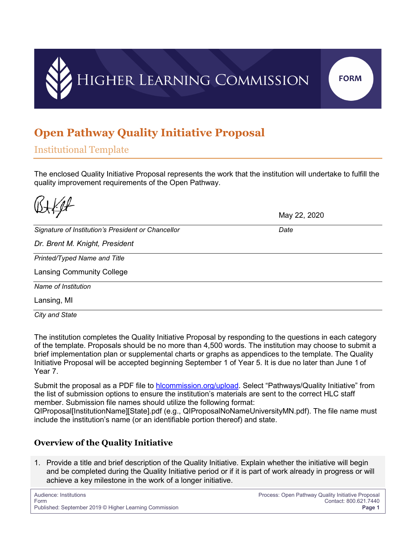

# **Open Pathway Quality Initiative Proposal**

Institutional Template

The enclosed Quality Initiative Proposal represents the work that the institution will undertake to fulfill the quality improvement requirements of the Open Pathway.

|                                                    | May 22, 2020 |
|----------------------------------------------------|--------------|
|                                                    |              |
| Signature of Institution's President or Chancellor | Date         |
| Dr. Brent M. Knight, President                     |              |
| Printed/Typed Name and Title                       |              |
| <b>Lansing Community College</b>                   |              |
| Name of Institution                                |              |
| Lansing, MI                                        |              |

*City and State*

The institution completes the Quality Initiative Proposal by responding to the questions in each category of the template. Proposals should be no more than 4,500 words. The institution may choose to submit a brief implementation plan or supplemental charts or graphs as appendices to the template. The Quality Initiative Proposal will be accepted beginning September 1 of Year 5. It is due no later than June 1 of Year 7.

Submit the proposal as a PDF file to [hlcommission.org/upload.](http://www.hlcommission.org/upload) Select "Pathways/Quality Initiative" from the list of submission options to ensure the institution's materials are sent to the correct HLC staff member. Submission file names should utilize the following format:

QIProposal[InstitutionName][State].pdf (e.g., QIProposalNoNameUniversityMN.pdf). The file name must include the institution's name (or an identifiable portion thereof) and state.

### **Overview of the Quality Initiative**

1. Provide a title and brief description of the Quality Initiative. Explain whether the initiative will begin and be completed during the Quality Initiative period or if it is part of work already in progress or will achieve a key milestone in the work of a longer initiative.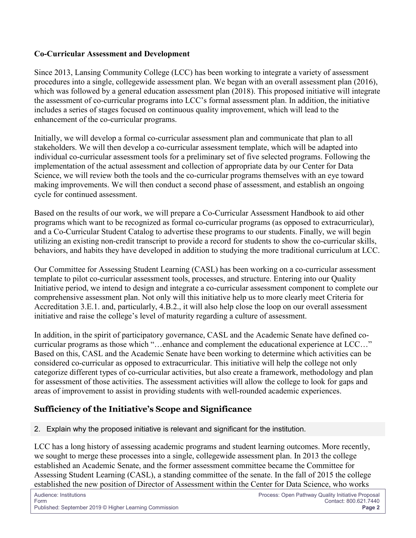#### **Co-Curricular Assessment and Development**

Since 2013, Lansing Community College (LCC) has been working to integrate a variety of assessment procedures into a single, collegewide assessment plan. We began with an overall assessment plan (2016), which was followed by a general education assessment plan (2018). This proposed initiative will integrate the assessment of co-curricular programs into LCC's formal assessment plan. In addition, the initiative includes a series of stages focused on continuous quality improvement, which will lead to the enhancement of the co-curricular programs.

Initially, we will develop a formal co-curricular assessment plan and communicate that plan to all stakeholders. We will then develop a co-curricular assessment template, which will be adapted into individual co-curricular assessment tools for a preliminary set of five selected programs. Following the implementation of the actual assessment and collection of appropriate data by our Center for Data Science, we will review both the tools and the co-curricular programs themselves with an eye toward making improvements. We will then conduct a second phase of assessment, and establish an ongoing cycle for continued assessment.

Based on the results of our work, we will prepare a Co-Curricular Assessment Handbook to aid other programs which want to be recognized as formal co-curricular programs (as opposed to extracurricular), and a Co-Curricular Student Catalog to advertise these programs to our students. Finally, we will begin utilizing an existing non-credit transcript to provide a record for students to show the co-curricular skills, behaviors, and habits they have developed in addition to studying the more traditional curriculum at LCC.

Our Committee for Assessing Student Learning (CASL) has been working on a co-curricular assessment template to pilot co-curricular assessment tools, processes, and structure. Entering into our Quality Initiative period, we intend to design and integrate a co-curricular assessment component to complete our comprehensive assessment plan. Not only will this initiative help us to more clearly meet Criteria for Accreditation 3.E.1. and, particularly, 4.B.2., it will also help close the loop on our overall assessment initiative and raise the college's level of maturity regarding a culture of assessment.

In addition, in the spirit of participatory governance, CASL and the Academic Senate have defined cocurricular programs as those which "…enhance and complement the educational experience at LCC…" Based on this, CASL and the Academic Senate have been working to determine which activities can be considered co-curricular as opposed to extracurricular. This initiative will help the college not only categorize different types of co-curricular activities, but also create a framework, methodology and plan for assessment of those activities. The assessment activities will allow the college to look for gaps and areas of improvement to assist in providing students with well-rounded academic experiences.

### **Sufficiency of the Initiative's Scope and Significance**

2. Explain why the proposed initiative is relevant and significant for the institution.

LCC has a long history of assessing academic programs and student learning outcomes. More recently, we sought to merge these processes into a single, collegewide assessment plan. In 2013 the college established an Academic Senate, and the former assessment committee became the Committee for Assessing Student Learning (CASL), a standing committee of the senate. In the fall of 2015 the college established the new position of Director of Assessment within the Center for Data Science, who works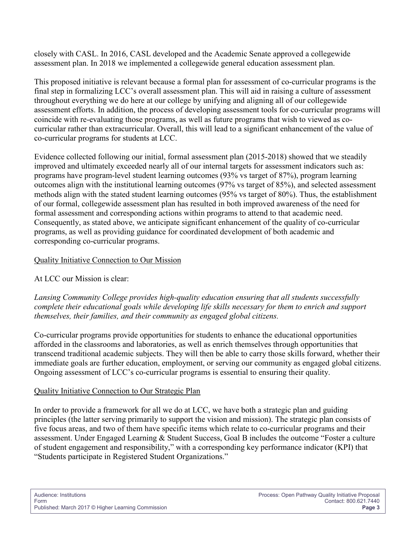closely with CASL. In 2016, CASL developed and the Academic Senate approved a collegewide assessment plan. In 2018 we implemented a collegewide general education assessment plan.

This proposed initiative is relevant because a formal plan for assessment of co-curricular programs is the final step in formalizing LCC's overall assessment plan. This will aid in raising a culture of assessment throughout everything we do here at our college by unifying and aligning all of our collegewide assessment efforts. In addition, the process of developing assessment tools for co-curricular programs will coincide with re-evaluating those programs, as well as future programs that wish to viewed as cocurricular rather than extracurricular. Overall, this will lead to a significant enhancement of the value of co-curricular programs for students at LCC.

Evidence collected following our initial, formal assessment plan (2015-2018) showed that we steadily improved and ultimately exceeded nearly all of our internal targets for assessment indicators such as: programs have program-level student learning outcomes (93% vs target of 87%), program learning outcomes align with the institutional learning outcomes (97% vs target of 85%), and selected assessment methods align with the stated student learning outcomes (95% vs target of 80%). Thus, the establishment of our formal, collegewide assessment plan has resulted in both improved awareness of the need for formal assessment and corresponding actions within programs to attend to that academic need. Consequently, as stated above, we anticipate significant enhancement of the quality of co-curricular programs, as well as providing guidance for coordinated development of both academic and corresponding co-curricular programs.

#### Quality Initiative Connection to Our Mission

### At LCC our Mission is clear:

*Lansing Community College provides high-quality education ensuring that all students successfully complete their educational goals while developing life skills necessary for them to enrich and support themselves, their families, and their community as engaged global citizens.*

Co-curricular programs provide opportunities for students to enhance the educational opportunities afforded in the classrooms and laboratories, as well as enrich themselves through opportunities that transcend traditional academic subjects. They will then be able to carry those skills forward, whether their immediate goals are further education, employment, or serving our community as engaged global citizens. Ongoing assessment of LCC's co-curricular programs is essential to ensuring their quality.

#### Quality Initiative Connection to Our Strategic Plan

In order to provide a framework for all we do at LCC, we have both a strategic plan and guiding principles (the latter serving primarily to support the vision and mission). The strategic plan consists of five focus areas, and two of them have specific items which relate to co-curricular programs and their assessment. Under Engaged Learning & Student Success, Goal B includes the outcome "Foster a culture of student engagement and responsibility," with a corresponding key performance indicator (KPI) that "Students participate in Registered Student Organizations."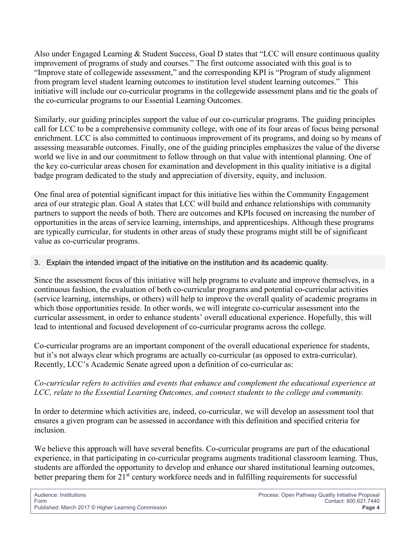Also under Engaged Learning & Student Success, Goal D states that "LCC will ensure continuous quality improvement of programs of study and courses." The first outcome associated with this goal is to "Improve state of collegewide assessment," and the corresponding KPI is "Program of study alignment from program level student learning outcomes to institution level student learning outcomes." This initiative will include our co-curricular programs in the collegewide assessment plans and tie the goals of the co-curricular programs to our Essential Learning Outcomes.

Similarly, our guiding principles support the value of our co-curricular programs. The guiding principles call for LCC to be a comprehensive community college, with one of its four areas of focus being personal enrichment. LCC is also committed to continuous improvement of its programs, and doing so by means of assessing measurable outcomes. Finally, one of the guiding principles emphasizes the value of the diverse world we live in and our commitment to follow through on that value with intentional planning. One of the key co-curricular areas chosen for examination and development in this quality initiative is a digital badge program dedicated to the study and appreciation of diversity, equity, and inclusion.

One final area of potential significant impact for this initiative lies within the Community Engagement area of our strategic plan. Goal A states that LCC will build and enhance relationships with community partners to support the needs of both. There are outcomes and KPIs focused on increasing the number of opportunities in the areas of service learning, internships, and apprenticeships. Although these programs are typically curricular, for students in other areas of study these programs might still be of significant value as co-curricular programs.

#### 3. Explain the intended impact of the initiative on the institution and its academic quality.

Since the assessment focus of this initiative will help programs to evaluate and improve themselves, in a continuous fashion, the evaluation of both co-curricular programs and potential co-curricular activities (service learning, internships, or others) will help to improve the overall quality of academic programs in which those opportunities reside. In other words, we will integrate co-curricular assessment into the curricular assessment, in order to enhance students' overall educational experience. Hopefully, this will lead to intentional and focused development of co-curricular programs across the college.

Co-curricular programs are an important component of the overall educational experience for students, but it's not always clear which programs are actually co-curricular (as opposed to extra-curricular). Recently, LCC's Academic Senate agreed upon a definition of co-curricular as:

#### *Co-curricular refers to activities and events that enhance and complement the educational experience at LCC, relate to the Essential Learning Outcomes, and connect students to the college and community.*

In order to determine which activities are, indeed, co-curricular, we will develop an assessment tool that ensures a given program can be assessed in accordance with this definition and specified criteria for inclusion.

We believe this approach will have several benefits. Co-curricular programs are part of the educational experience, in that participating in co-curricular programs augments traditional classroom learning. Thus, students are afforded the opportunity to develop and enhance our shared institutional learning outcomes, better preparing them for 21<sup>st</sup> century workforce needs and in fulfilling requirements for successful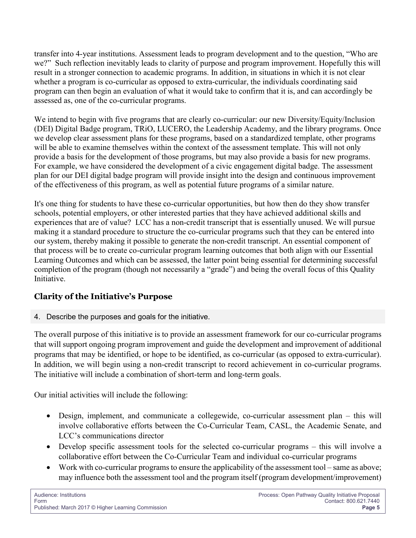transfer into 4-year institutions. Assessment leads to program development and to the question, "Who are we?" Such reflection inevitably leads to clarity of purpose and program improvement. Hopefully this will result in a stronger connection to academic programs. In addition, in situations in which it is not clear whether a program is co-curricular as opposed to extra-curricular, the individuals coordinating said program can then begin an evaluation of what it would take to confirm that it is, and can accordingly be assessed as, one of the co-curricular programs.

We intend to begin with five programs that are clearly co-curricular: our new Diversity/Equity/Inclusion (DEI) Digital Badge program, TRiO, LUCERO, the Leadership Academy, and the library programs. Once we develop clear assessment plans for these programs, based on a standardized template, other programs will be able to examine themselves within the context of the assessment template. This will not only provide a basis for the development of those programs, but may also provide a basis for new programs. For example, we have considered the development of a civic engagement digital badge. The assessment plan for our DEI digital badge program will provide insight into the design and continuous improvement of the effectiveness of this program, as well as potential future programs of a similar nature.

It's one thing for students to have these co-curricular opportunities, but how then do they show transfer schools, potential employers, or other interested parties that they have achieved additional skills and experiences that are of value? LCC has a non-credit transcript that is essentially unused. We will pursue making it a standard procedure to structure the co-curricular programs such that they can be entered into our system, thereby making it possible to generate the non-credit transcript. An essential component of that process will be to create co-curricular program learning outcomes that both align with our Essential Learning Outcomes and which can be assessed, the latter point being essential for determining successful completion of the program (though not necessarily a "grade") and being the overall focus of this Quality Initiative.

## **Clarity of the Initiative's Purpose**

4. Describe the purposes and goals for the initiative.

The overall purpose of this initiative is to provide an assessment framework for our co-curricular programs that will support ongoing program improvement and guide the development and improvement of additional programs that may be identified, or hope to be identified, as co-curricular (as opposed to extra-curricular). In addition, we will begin using a non-credit transcript to record achievement in co-curricular programs. The initiative will include a combination of short-term and long-term goals.

Our initial activities will include the following:

- Design, implement, and communicate a collegewide, co-curricular assessment plan this will involve collaborative efforts between the Co-Curricular Team, CASL, the Academic Senate, and LCC's communications director
- Develop specific assessment tools for the selected co-curricular programs this will involve a collaborative effort between the Co-Curricular Team and individual co-curricular programs
- Work with co-curricular programs to ensure the applicability of the assessment tool same as above; may influence both the assessment tool and the program itself (program development/improvement)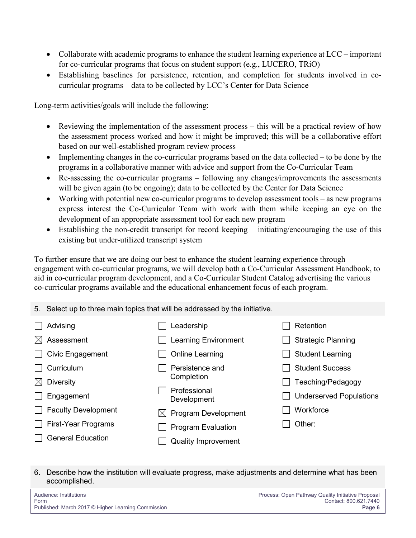- Collaborate with academic programs to enhance the student learning experience at LCC important for co-curricular programs that focus on student support (e.g., LUCERO, TRiO)
- Establishing baselines for persistence, retention, and completion for students involved in cocurricular programs – data to be collected by LCC's Center for Data Science

Long-term activities/goals will include the following:

- Reviewing the implementation of the assessment process this will be a practical review of how the assessment process worked and how it might be improved; this will be a collaborative effort based on our well-established program review process
- Implementing changes in the co-curricular programs based on the data collected to be done by the programs in a collaborative manner with advice and support from the Co-Curricular Team
- Re-assessing the co-curricular programs following any changes/improvements the assessments will be given again (to be ongoing); data to be collected by the Center for Data Science
- Working with potential new co-curricular programs to develop assessment tools as new programs express interest the Co-Curricular Team with work with them while keeping an eye on the development of an appropriate assessment tool for each new program
- Establishing the non-credit transcript for record keeping initiating/encouraging the use of this existing but under-utilized transcript system

To further ensure that we are doing our best to enhance the student learning experience through engagement with co-curricular programs, we will develop both a Co-Curricular Assessment Handbook, to aid in co-curricular program development, and a Co-Curricular Student Catalog advertising the various co-curricular programs available and the educational enhancement focus of each program.

|           | 5. Select up to three main topics that will be addressed by the initiative. |   |                             |  |                                |  |  |
|-----------|-----------------------------------------------------------------------------|---|-----------------------------|--|--------------------------------|--|--|
|           | Advising                                                                    |   | Leadership                  |  | Retention                      |  |  |
|           | $\boxtimes$ Assessment                                                      |   | <b>Learning Environment</b> |  | <b>Strategic Planning</b>      |  |  |
|           | Civic Engagement                                                            |   | <b>Online Learning</b>      |  | <b>Student Learning</b>        |  |  |
|           | Curriculum                                                                  |   | Persistence and             |  | <b>Student Success</b>         |  |  |
| $\bowtie$ | <b>Diversity</b>                                                            |   | Completion                  |  | Teaching/Pedagogy              |  |  |
|           | Engagement                                                                  |   | Professional<br>Development |  | <b>Underserved Populations</b> |  |  |
|           | <b>Faculty Development</b>                                                  | M | <b>Program Development</b>  |  | Workforce                      |  |  |
|           | <b>First-Year Programs</b>                                                  |   | <b>Program Evaluation</b>   |  | Other:                         |  |  |
|           | <b>General Education</b>                                                    |   | <b>Quality Improvement</b>  |  |                                |  |  |

#### 6. Describe how the institution will evaluate progress, make adjustments and determine what has been accomplished.

| Audience: Institutions                             | Process: Open Pathway Quality Initiative Proposal |
|----------------------------------------------------|---------------------------------------------------|
| Form                                               | Contact: 800.621.7440                             |
| Published: March 2017 © Higher Learning Commission | Page 6                                            |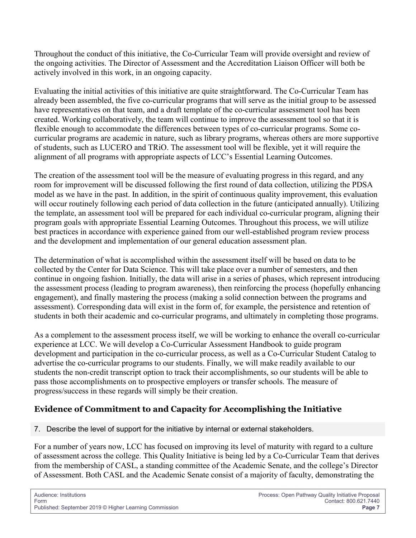Throughout the conduct of this initiative, the Co-Curricular Team will provide oversight and review of the ongoing activities. The Director of Assessment and the Accreditation Liaison Officer will both be actively involved in this work, in an ongoing capacity.

Evaluating the initial activities of this initiative are quite straightforward. The Co-Curricular Team has already been assembled, the five co-curricular programs that will serve as the initial group to be assessed have representatives on that team, and a draft template of the co-curricular assessment tool has been created. Working collaboratively, the team will continue to improve the assessment tool so that it is flexible enough to accommodate the differences between types of co-curricular programs. Some cocurricular programs are academic in nature, such as library programs, whereas others are more supportive of students, such as LUCERO and TRiO. The assessment tool will be flexible, yet it will require the alignment of all programs with appropriate aspects of LCC's Essential Learning Outcomes.

The creation of the assessment tool will be the measure of evaluating progress in this regard, and any room for improvement will be discussed following the first round of data collection, utilizing the PDSA model as we have in the past. In addition, in the spirit of continuous quality improvement, this evaluation will occur routinely following each period of data collection in the future (anticipated annually). Utilizing the template, an assessment tool will be prepared for each individual co-curricular program, aligning their program goals with appropriate Essential Learning Outcomes. Throughout this process, we will utilize best practices in accordance with experience gained from our well-established program review process and the development and implementation of our general education assessment plan.

The determination of what is accomplished within the assessment itself will be based on data to be collected by the Center for Data Science. This will take place over a number of semesters, and then continue in ongoing fashion. Initially, the data will arise in a series of phases, which represent introducing the assessment process (leading to program awareness), then reinforcing the process (hopefully enhancing engagement), and finally mastering the process (making a solid connection between the programs and assessment). Corresponding data will exist in the form of, for example, the persistence and retention of students in both their academic and co-curricular programs, and ultimately in completing those programs.

As a complement to the assessment process itself, we will be working to enhance the overall co-curricular experience at LCC. We will develop a Co-Curricular Assessment Handbook to guide program development and participation in the co-curricular process, as well as a Co-Curricular Student Catalog to advertise the co-curricular programs to our students. Finally, we will make readily available to our students the non-credit transcript option to track their accomplishments, so our students will be able to pass those accomplishments on to prospective employers or transfer schools. The measure of progress/success in these regards will simply be their creation.

## **Evidence of Commitment to and Capacity for Accomplishing the Initiative**

7. Describe the level of support for the initiative by internal or external stakeholders.

For a number of years now, LCC has focused on improving its level of maturity with regard to a culture of assessment across the college. This Quality Initiative is being led by a Co-Curricular Team that derives from the membership of CASL, a standing committee of the Academic Senate, and the college's Director of Assessment. Both CASL and the Academic Senate consist of a majority of faculty, demonstrating the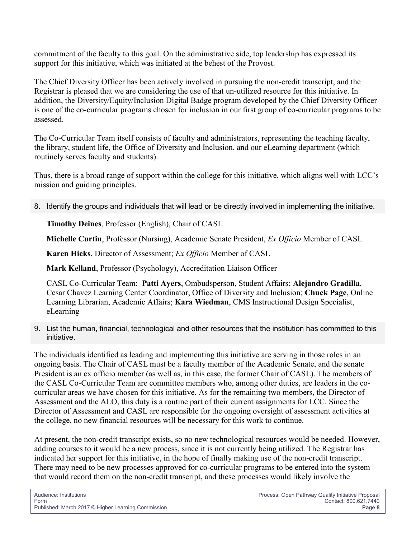commitment of the faculty to this goal. On the administrative side, top leadership has expressed its support for this initiative, which was initiated at the behest of the Provost.

The Chief Diversity Officer has been actively involved in pursuing the non-credit transcript, and the Registrar is pleased that we are considering the use of that un-utilized resource for this initiative. In addition, the Diversity/Equity/Inclusion Digital Badge program developed by the Chief Diversity Officer is one of the co-curricular programs chosen for inclusion in our first group of co-curricular programs to be assessed.

The Co-Curricular Team itself consists of faculty and administrators, representing the teaching faculty, the library, student life, the Office of Diversity and Inclusion, and our eLearning department (which routinely serves faculty and students).

Thus, there is a broad range of support within the college for this initiative, which aligns well with LCC's mission and guiding principles.

8. Identify the groups and individuals that will lead or be directly involved in implementing the initiative.

**Timothy Deines**, Professor (English), Chair of CASL

**Michelle Curtin**, Professor (Nursing), Academic Senate President, *Ex Officio* Member of CASL

**Karen Hicks**, Director of Assessment; *Ex Officio* Member of CASL

**Mark Kelland**, Professor (Psychology), Accreditation Liaison Officer

CASL Co-Curricular Team: **Patti Ayers**, Ombudsperson, Student Affairs; **Alejandro Gradilla**, Cesar Chavez Learning Center Coordinator, Office of Diversity and Inclusion; **Chuck Page**, Online Learning Librarian, Academic Affairs; **Kara Wiedman**, CMS Instructional Design Specialist, eLearning

9. List the human, financial, technological and other resources that the institution has committed to this initiative.

The individuals identified as leading and implementing this initiative are serving in those roles in an ongoing basis. The Chair of CASL must be a faculty member of the Academic Senate, and the senate President is an ex officio member (as well as, in this case, the former Chair of CASL). The members of the CASL Co-Curricular Team are committee members who, among other duties, are leaders in the cocurricular areas we have chosen for this initiative. As for the remaining two members, the Director of Assessment and the ALO, this duty is a routine part of their current assignments for LCC. Since the Director of Assessment and CASL are responsible for the ongoing oversight of assessment activities at the college, no new financial resources will be necessary for this work to continue.

At present, the non-credit transcript exists, so no new technological resources would be needed. However, adding courses to it would be a new process, since it is not currently being utilized. The Registrar has indicated her support for this initiative, in the hope of finally making use of the non-credit transcript. There may need to be new processes approved for co-curricular programs to be entered into the system that would record them on the non-credit transcript, and these processes would likely involve the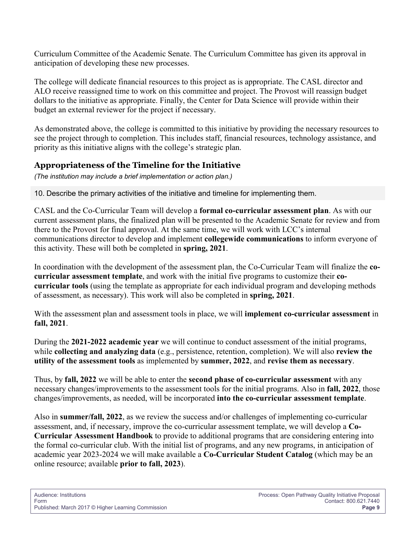Curriculum Committee of the Academic Senate. The Curriculum Committee has given its approval in anticipation of developing these new processes.

The college will dedicate financial resources to this project as is appropriate. The CASL director and ALO receive reassigned time to work on this committee and project. The Provost will reassign budget dollars to the initiative as appropriate. Finally, the Center for Data Science will provide within their budget an external reviewer for the project if necessary.

As demonstrated above, the college is committed to this initiative by providing the necessary resources to see the project through to completion. This includes staff, financial resources, technology assistance, and priority as this initiative aligns with the college's strategic plan.

## **Appropriateness of the Timeline for the Initiative**

*(The institution may include a brief implementation or action plan.)*

10. Describe the primary activities of the initiative and timeline for implementing them.

CASL and the Co-Curricular Team will develop a **formal co-curricular assessment plan**. As with our current assessment plans, the finalized plan will be presented to the Academic Senate for review and from there to the Provost for final approval. At the same time, we will work with LCC's internal communications director to develop and implement **collegewide communications** to inform everyone of this activity. These will both be completed in **spring, 2021**.

In coordination with the development of the assessment plan, the Co-Curricular Team will finalize the **cocurricular assessment template**, and work with the initial five programs to customize their **cocurricular tools** (using the template as appropriate for each individual program and developing methods of assessment, as necessary). This work will also be completed in **spring, 2021**.

With the assessment plan and assessment tools in place, we will **implement co-curricular assessment** in **fall, 2021**.

During the **2021-2022 academic year** we will continue to conduct assessment of the initial programs, while **collecting and analyzing data** (e.g., persistence, retention, completion). We will also **review the utility of the assessment tools** as implemented by **summer, 2022**, and **revise them as necessary**.

Thus, by **fall, 2022** we will be able to enter the **second phase of co-curricular assessment** with any necessary changes/improvements to the assessment tools for the initial programs. Also in **fall, 2022**, those changes/improvements, as needed, will be incorporated **into the co-curricular assessment template**.

Also in **summer/fall, 2022**, as we review the success and/or challenges of implementing co-curricular assessment, and, if necessary, improve the co-curricular assessment template, we will develop a **Co-Curricular Assessment Handbook** to provide to additional programs that are considering entering into the formal co-curricular club. With the initial list of programs, and any new programs, in anticipation of academic year 2023-2024 we will make available a **Co-Curricular Student Catalog** (which may be an online resource; available **prior to fall, 2023**).